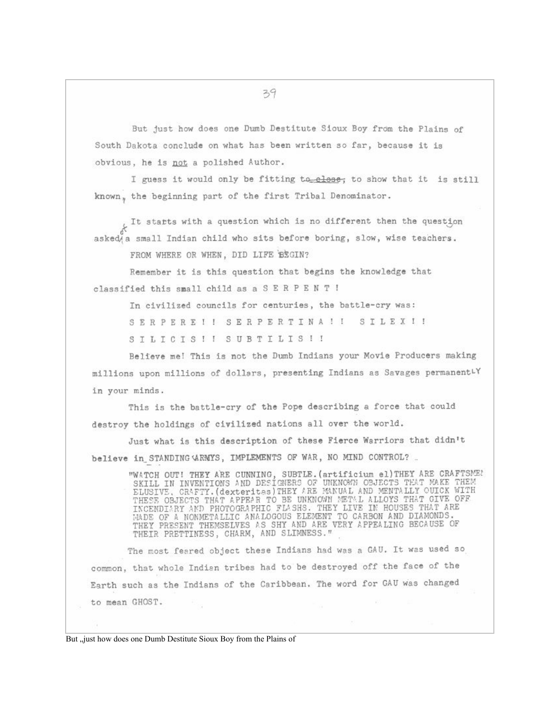But just how does one Dumb Destitute Sioux Boy from the Plains of South Dakota conclude on what has been written so far, because it is obvious, he is not a polished Author.

I guess it would only be fitting to elose; to show that it is still known, the beginning part of the first Tribal Denominator.

It starts with a question which is no different then the question asked a small Indian child who sits before boring, slow, wise teachers.

FROM WHERE OR WHEN, DID LIFE BEGIN?

Remember it is this question that begins the knowledge that classified this small child as a S E R P E N T !

In civilized councils for centuries, the battle-cry was:

SERPEREI ! SERPERTINA !! SILEXI!

SILICIS!! SUBTILIS!!

Believe me! This is not the Dumb Indians your Movie Producers making millions upon millions of dollars, presenting Indians as Savages permanentLY in your minds.

This is the battle-cry of the Pope describing a force that could destroy the holdings of civilized nations all over the world.

Just what is this description of these Fierce Warriors that didn't believe in STANDING WRWYS, IMPLEMENTS OF WAR, NO MIND CONTROL?

"WATCH OUT! THEY ARE CUNNING, SUBTLE. (artificium el) THEY ARE CRAFTSME!<br>SKILL IN INVENTIONS AND DESIGNERS OF UNKNOWN OBJECTS TEAT MAKE THEM<br>ELUSIVE, CRAFTY. (dexternas) THEY ARE MANUAL AND MENTALLY OUICK WITH<br>THESE OBJECT

The most feared object these Indians had was a GAU. It was used so common, that whole Indian tribes had to be destroyed off the face of the Earth such as the Indians of the Caribbean. The word for GAU was changed to mean GHOST.

39